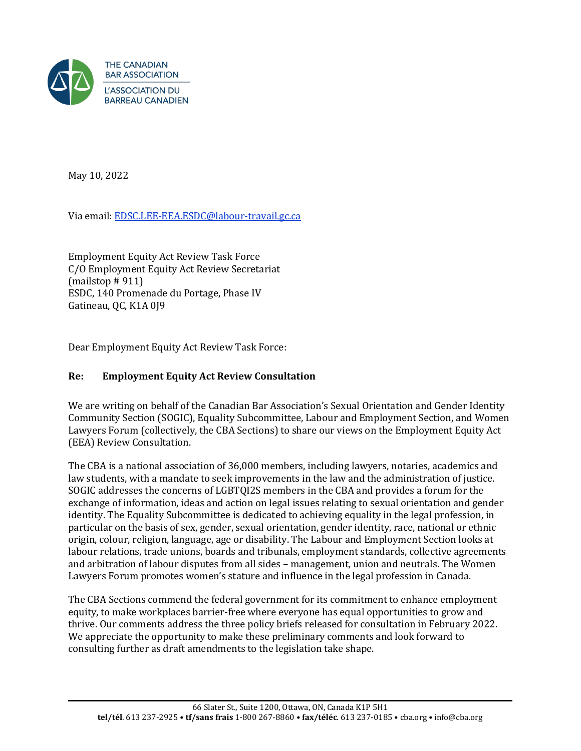

May 10, 2022

Via email: [EDSC.LEE-EEA.ESDC@labour-travail.gc.ca](mailto:EDSC.LEE-EEA.ESDC@labour-travail.gc.ca)

Employment Equity Act Review Task Force C/O Employment Equity Act Review Secretariat (mailstop # 911) ESDC, 140 Promenade du Portage, Phase IV Gatineau, QC, K1A 0J9

Dear Employment Equity Act Review Task Force:

### **Re: Employment Equity Act Review Consultation**

We are writing on behalf of the Canadian Bar Association's Sexual Orientation and Gender Identity Community Section (SOGIC), Equality Subcommittee, Labour and Employment Section, and Women Lawyers Forum (collectively, the CBA Sections) to share our views on the Employment Equity Act (EEA) Review Consultation.

The CBA is a national association of 36,000 members, including lawyers, notaries, academics and law students, with a mandate to seek improvements in the law and the administration of justice. SOGIC addresses the concerns of LGBTQI2S members in the CBA and provides a forum for the exchange of information, ideas and action on legal issues relating to sexual orientation and gender identity. The Equality Subcommittee is dedicated to achieving equality in the legal profession, in particular on the basis of sex, gender, sexual orientation, gender identity, race, national or ethnic origin, colour, religion, language, age or disability. The Labour and Employment Section looks at labour relations, trade unions, boards and tribunals, employment standards, collective agreements and arbitration of labour disputes from all sides – management, union and neutrals. The Women Lawyers Forum promotes women's stature and influence in the legal profession in Canada.

The CBA Sections commend the federal government for its commitment to enhance employment equity, to make workplaces barrier-free where everyone has equal opportunities to grow and thrive. Our comments address the three policy briefs released for consultation in February 2022. We appreciate the opportunity to make these preliminary comments and look forward to consulting further as draft amendments to the legislation take shape.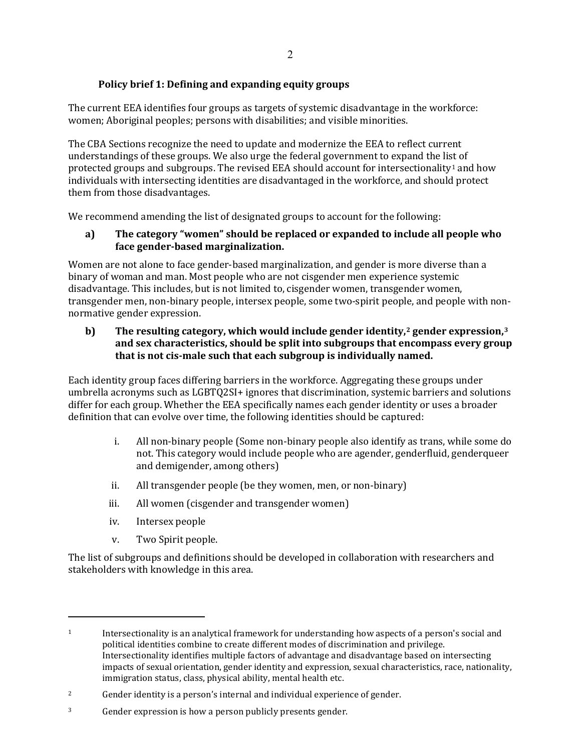## **Policy brief 1: Defining and expanding equity groups**

The current EEA identifies four groups as targets of systemic disadvantage in the workforce: women; Aboriginal peoples; persons with disabilities; and visible minorities.

The CBA Sections recognize the need to update and modernize the EEA to reflect current understandings of these groups. We also urge the federal government to expand the list of protected groups and subgroups. The revised EEA should account for intersectionality<sup>1</sup> and how individuals with intersecting identities are disadvantaged in the workforce, and should protect them from those disadvantages.

We recommend amending the list of designated groups to account for the following:

#### **a) The category "women" should be replaced or expanded to include all people who face gender-based marginalization.**

Women are not alone to face gender-based marginalization, and gender is more diverse than a binary of woman and man. Most people who are not cisgender men experience systemic disadvantage. This includes, but is not limited to, cisgender women, transgender women, transgender men, non-binary people, intersex people, some two-spirit people, and people with nonnormative gender expression.

#### **b) The resulting category, which would include gender identity,2 gender expression,3 and sex characteristics, should be split into subgroups that encompass every group that is not cis-male such that each subgroup is individually named.**

Each identity group faces differing barriers in the workforce. Aggregating these groups under umbrella acronyms such as LGBTQ2SI+ ignores that discrimination, systemic barriers and solutions differ for each group. Whether the EEA specifically names each gender identity or uses a broader definition that can evolve over time, the following identities should be captured:

- i. All non-binary people (Some non-binary people also identify as trans, while some do not. This category would include people who are agender, genderfluid, genderqueer and demigender, among others)
- ii. All transgender people (be they women, men, or non-binary)
- iii. All women (cisgender and transgender women)
- iv. Intersex people
- v. Two Spirit people.

The list of subgroups and definitions should be developed in collaboration with researchers and stakeholders with knowledge in this area.

<sup>1</sup> Intersectionality is an analytical framework for understanding how aspects of a person's social and political identities combine to create different modes of discrimination and privilege. Intersectionality identifies multiple factors of advantage and disadvantage based on intersecting impacts of sexual orientation, gender identity and expression, sexual characteristics, race, nationality, immigration status, class, physical ability, mental health etc.

<sup>&</sup>lt;sup>2</sup> Gender identity is a person's internal and individual experience of gender.

<sup>3</sup> Gender expression is how a person publicly presents gender.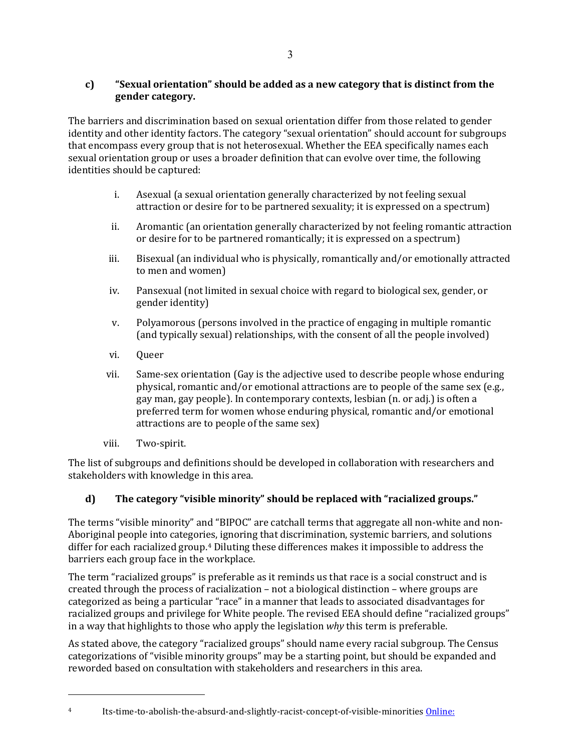## **c) "Sexual orientation" should be added as a new category that is distinct from the gender category.**

The barriers and discrimination based on sexual orientation differ from those related to gender identity and other identity factors. The category "sexual orientation" should account for subgroups that encompass every group that is not heterosexual. Whether the EEA specifically names each sexual orientation group or uses a broader definition that can evolve over time, the following identities should be captured:

- i. Asexual (a sexual orientation generally characterized by not feeling sexual attraction or desire for to be partnered sexuality; it is expressed on a spectrum)
- ii. Aromantic (an orientation generally characterized by not feeling romantic attraction or desire for to be partnered romantically; it is expressed on a spectrum)
- iii. Bisexual (an individual who is physically, romantically and/or emotionally attracted to men and women)
- iv. Pansexual (not limited in sexual choice with regard to biological sex, gender, or gender identity)
- v. Polyamorous (persons involved in the practice of engaging in multiple romantic (and typically sexual) relationships, with the consent of all the people involved)
- vi. Queer
- vii. Same-sex orientation (Gay is the adjective used to describe people whose enduring physical, romantic and/or emotional attractions are to people of the same sex (e.g., gay man, gay people). In contemporary contexts, lesbian (n. or adj.) is often a preferred term for women whose enduring physical, romantic and/or emotional attractions are to people of the same sex)
- viii. Two-spirit.

The list of subgroups and definitions should be developed in collaboration with researchers and stakeholders with knowledge in this area.

# **d) The category "visible minority" should be replaced with "racialized groups."**

The terms "visible minority" and "BIPOC" are catchall terms that aggregate all non-white and non-Aboriginal people into categories, ignoring that discrimination, systemic barriers, and solutions differ for each racialized group.<sup>4</sup> Diluting these differences makes it impossible to address the barriers each group face in the workplace.

The term "racialized groups" is preferable as it reminds us that race is a social construct and is created through the process of racialization – not a biological distinction – where groups are categorized as being a particular "race" in a manner that leads to associated disadvantages for racialized groups and privilege for White people. The revised EEA should define "racialized groups" in a way that highlights to those who apply the legislation *why* this term is preferable.

As stated above, the category "racialized groups" should name every racial subgroup. The Census categorizations of "visible minority groups" may be a starting point, but should be expanded and reworded based on consultation with stakeholders and researchers in this area.

<sup>4</sup> Its-time-to-abolish-the-absurd-and-slightly-racist-concept-of-visible-minorities [Online:](https://c2cjournal.ca/2022/02/its-time-to-abolish-the-absurd-and-slightly-racist-concept-of-visible-minorities/)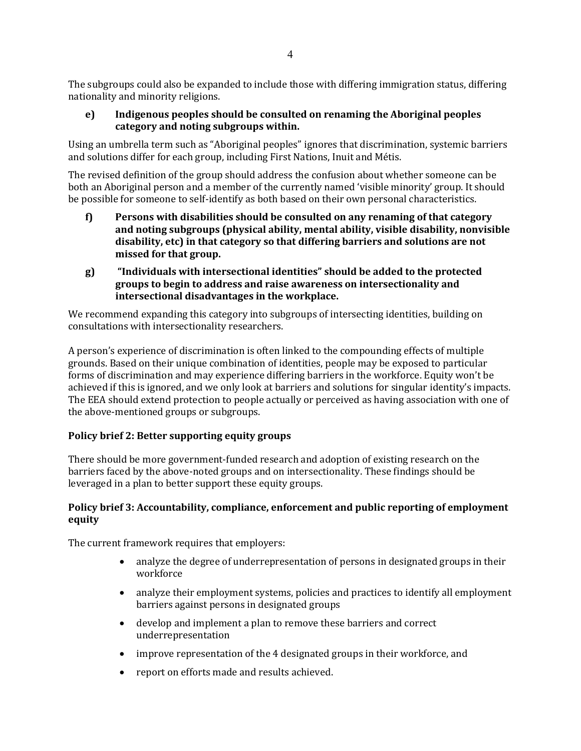The subgroups could also be expanded to include those with differing immigration status, differing nationality and minority religions.

**e) Indigenous peoples should be consulted on renaming the Aboriginal peoples category and noting subgroups within.** 

Using an umbrella term such as "Aboriginal peoples" ignores that discrimination, systemic barriers and solutions differ for each group, including First Nations, Inuit and Métis.

The revised definition of the group should address the confusion about whether someone can be both an Aboriginal person and a member of the currently named 'visible minority' group. It should be possible for someone to self-identify as both based on their own personal characteristics.

- **f) Persons with disabilities should be consulted on any renaming of that category and noting subgroups (physical ability, mental ability, visible disability, nonvisible disability, etc) in that category so that differing barriers and solutions are not missed for that group.**
- **g) "Individuals with intersectional identities" should be added to the protected groups to begin to address and raise awareness on intersectionality and intersectional disadvantages in the workplace.**

We recommend expanding this category into subgroups of intersecting identities, building on consultations with intersectionality researchers.

A person's experience of discrimination is often linked to the compounding effects of multiple grounds. Based on their unique combination of identities, people may be exposed to particular forms of discrimination and may experience differing barriers in the workforce. Equity won't be achieved if this is ignored, and we only look at barriers and solutions for singular identity's impacts. The EEA should extend protection to people actually or perceived as having association with one of the above-mentioned groups or subgroups.

## **Policy brief 2: Better supporting equity groups**

There should be more government-funded research and adoption of existing research on the barriers faced by the above-noted groups and on intersectionality. These findings should be leveraged in a plan to better support these equity groups.

#### **Policy brief 3: Accountability, compliance, enforcement and public reporting of employment equity**

The current framework requires that employers:

- analyze the degree of underrepresentation of persons in designated groups in their workforce
- analyze their employment systems, policies and practices to identify all employment barriers against persons in designated groups
- develop and implement a plan to remove these barriers and correct underrepresentation
- improve representation of the 4 designated groups in their workforce, and
- report on efforts made and results achieved.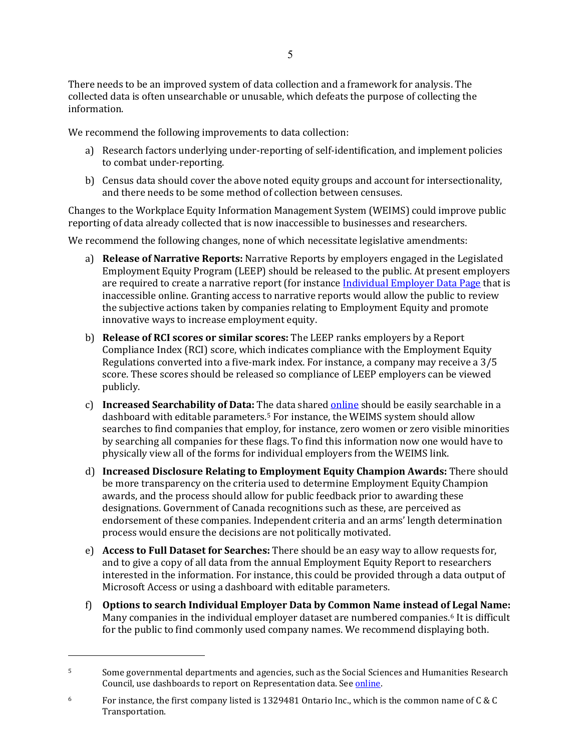There needs to be an improved system of data collection and a framework for analysis. The collected data is often unsearchable or unusable, which defeats the purpose of collecting the information.

We recommend the following improvements to data collection:

- a) Research factors underlying under-reporting of self-identification, and implement policies to combat under-reporting.
- b) Census data should cover the above noted equity groups and account for intersectionality, and there needs to be some method of collection between censuses.

Changes to the Workplace Equity Information Management System (WEIMS) could improve public reporting of data already collected that is now inaccessible to businesses and researchers.

We recommend the following changes, none of which necessitate legislative amendments:

- a) **Release of Narrative Reports:** Narrative Reports by employers engaged in the Legislated Employment Equity Program (LEEP) should be released to the public. At present employers are required to create a narrative report (for instance [Individual Employer Data Page](https://equity.esdc.gc.ca/sgiemt-weims/pub/) that is inaccessible online. Granting access to narrative reports would allow the public to review the subjective actions taken by companies relating to Employment Equity and promote innovative ways to increase employment equity.
- b) **Release of RCI scores or similar scores:** The LEEP ranks employers by a Report Compliance Index (RCI) score, which indicates compliance with the Employment Equity Regulations converted into a five-mark index. For instance, a company may receive a 3/5 score. These scores should be released so compliance of LEEP employers can be viewed publicly.
- c) **Increased Searchability of Data:** The data share[d online](https://equity.esdc.gc.ca/sgiemt-weims/pub/) should be easily searchable in a dashboard with editable parameters.5 For instance, the WEIMS system should allow searches to find companies that employ, for instance, zero women or zero visible minorities by searching all companies for these flags. To find this information now one would have to physically view all of the forms for individual employers from the WEIMS link.
- d) **Increased Disclosure Relating to Employment Equity Champion Awards:** There should be more transparency on the criteria used to determine Employment Equity Champion awards, and the process should allow for public feedback prior to awarding these designations. Government of Canada recognitions such as these, are perceived as endorsement of these companies. Independent criteria and an arms' length determination process would ensure the decisions are not politically motivated.
- e) **Access to Full Dataset for Searches:** There should be an easy way to allow requests for, and to give a copy of all data from the annual Employment Equity Report to researchers interested in the information. For instance, this could be provided through a data output of Microsoft Access or using a dashboard with editable parameters.
- f) **Options to search Individual Employer Data by Common Name instead of Legal Name:** Many companies in the individual employer dataset are numbered companies.<sup>6</sup> It is difficult for the public to find commonly used company names. We recommend displaying both.

<sup>&</sup>lt;sup>5</sup> Some governmental departments and agencies, such as the Social Sciences and Humanities Research Council, use dashboards to report on Representation data. See online.

<sup>&</sup>lt;sup>6</sup> For instance, the first company listed is 1329481 Ontario Inc., which is the common name of C & C Transportation.